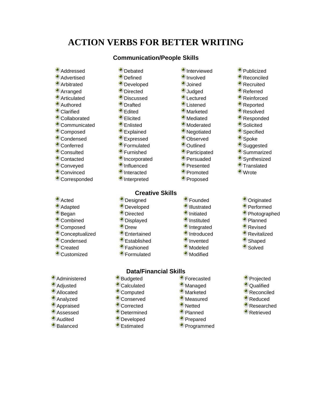# **ACTION VERBS FOR BETTER WRITING**

#### **Communication/People Skills**

- Addressed
- **Advertised**
- **Arbitrated**
- Arranged
- Articulated
- Authored
- Clarified
- Collaborated
- Communicated
- Composed
- Condensed
- Conferred
- Consulted
- Contacted
- Conveyed
- Convinced
- Corresponded
- Acted
- Adapted
- Began
- Combined
- Composed
- Conceptualized
- Condensed
- Created
- Customized
- Administered
- Adjusted
- **Allocated**
- Analyzed
- Appraised
- Assessed
- Audited
- Balanced
- **Debated Defined**
- **Developed**
- **Directed**
- **Discussed**
- **Drafted**
- 
- Edited
- Elicited
- Enlisted
- Explained
- **Expressed**
- Formulated
- Furnished
- **Incorporated**
- **Influenced**
- **Interacted**
- **Interpreted**

### **Creative Skills**

- **Designed**
- **Developed**
- **Directed**
- **Displayed**
- **Drew**
- Entertained
- Established
- Fashioned
- Formulated

## **Data/Financial Skills**

- Budgeted
- Calculated
- Computed
- Conserved
- Corrected
- **Determined**
- **Developed**
- Estimated

**Interviewed** 

◆ Publicized **Reconciled** Recruited Referred Reinforced Reported Resolved Responded Solicited **Specified** Spoke Suggested Summarized Synthesized **Translated** <sup>●</sup> Wrote

> Originated Performed Photographed Planned **Revised Revitalized** Shaped \* Solved

Projected **C**ualified **Reconciled** Reduced Researched Retrieved

- **Involved**
- Joined
- **Judged**
- **Lectured**
- **Listened**
- Marketed
- Mediated
- **Moderated**
- **Negotiated**
- Observed
- Outlined
- Participated
- Persuaded
- Presented
- Promoted
- Proposed
- 
- Founded
- **Illustrated**
- **Initiated**
- **Instituted**
- **Integrated**
- **Introduced**
- **Invented**
- Modeled
- Modified
- Forecasted

**Managed Marketed** Measured **Netted** Planned Prepared Programmed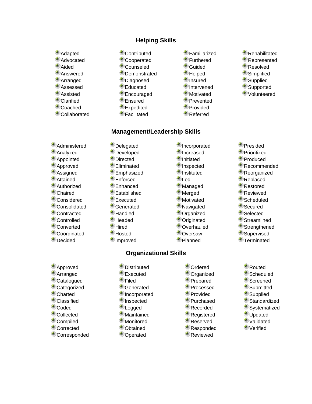## **Helping Skills**

**Management/Leadership Skills**

- Adapted
- Advocated
- Aided
- Answered
- Arranged
- Assessed
- Assisted
- Clarified
- Coached
- Collaborated
- Contributed
- Cooperated
- Counseled
- **Demonstrated**
- Diagnosed
- Educated
- **Encouraged**
- Ensured
- **Expedited**
- Facilitated
- Familiarized
- Furthered
- Guided
- Helped
- **Insured**
- **Intervened**
- **Motivated**
- Prevented
- Provided
- Referred

**Incorporated Increased Initiated**  $\blacksquare$  Inspected **Instituted** <sup>●</sup> Led Managed Merged **Motivated Navigated** Organized Originated Overhauled Oversaw Planned

- Rehabilitated
- Represented
- Resolved
- **Simplified**
- Supplied
- Supported
- Volunteered

- Administered
- Analyzed
- Appointed
- Approved
- Assigned
- Attained
- Authorized
- Chaired
- Considered
- Consolidated
- Contracted
- 
- Controlled
- Converted
- Coordinated
- Decided

Approved Arranged Catalogued Categorized Charted Classified Coded Collected Compiled Corrected Corresponded

- Eliminated **Emphasized**
- Enforced

**Delegated Developed Directed** 

- Enhanced
- Established
- **Executed**
- Generated
- Handled
- **Headed**
- <sup>●</sup> Hired
- Hosted
- **Improved**

# **Organizational Skills**

- 
- Executed

**Distributed** 

- Filed
- Generated
- **Incorporated**
- $\bullet$  Inspected
- **Logged**
- Maintained
- Monitored
- Obtained
- Operated
- Ordered
- Organized
- Prepared
- Processed
- Provided
- Purchased
- Recorded
- Registered
- Reserved
- Responded
- Reviewed
- Presided
- **Prioritized**
- Produced
- Recommended
- Reorganized
- Replaced
- Restored
- Reviewed
- Scheduled
- Secured
- Selected
- Streamlined **Strengthened**

Supervised **Terminated** 

> Routed Scheduled Screened **Submitted** Supplied Standardized Systematized Updated Validated Verified